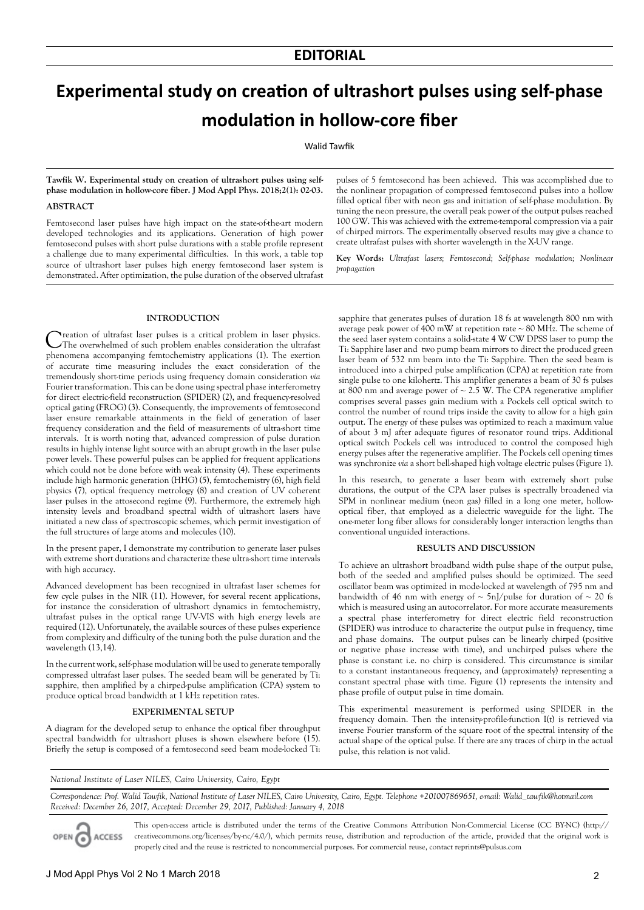# **Experimental study on creation of ultrashort pulses using self-phase modulation in hollow-core fiber**

Walid Tawfik

**Tawfik W. Experimental study on creation of ultrashort pulses using selfphase modulation in hollow-core fiber. J Mod Appl Phys. 2018;2(1): 02-03.**

# **ABSTRACT**

Femtosecond laser pulses have high impact on the state-of-the-art modern developed technologies and its applications. Generation of high power femtosecond pulses with short pulse durations with a stable profile represent a challenge due to many experimental difficulties. In this work, a table top source of ultrashort laser pulses high energy femtosecond laser system is demonstrated. After optimization, the pulse duration of the observed ultrafast

pulses of 5 femtosecond has been achieved. This was accomplished due to the nonlinear propagation of compressed femtosecond pulses into a hollow filled optical fiber with neon gas and initiation of self-phase modulation. By tuning the neon pressure, the overall peak power of the output pulses reached 100 GW. This was achieved with the extreme-temporal compression via a pair of chirped mirrors. The experimentally observed results may give a chance to create ultrafast pulses with shorter wavelength in the X-UV range.

**Key Words:** *Ultrafast lasers; Femtosecond; Self-phase modulation; Nonlinear propagation*

## **INTRODUCTION**

Creation of ultrafast laser pulses is a critical problem in laser physics. The overwhelmed of such problem enables consideration the ultrafast phenomena accompanying femtochemistry applications (1). The exertion of accurate time measuring includes the exact consideration of the tremendously short-time periods using frequency domain consideration *via* Fourier transformation. This can be done using spectral phase interferometry for direct electric-field reconstruction (SPIDER) (2), and frequency-resolved optical gating (FROG) (3). Consequently, the improvements of femtosecond laser ensure remarkable attainments in the field of generation of laser frequency consideration and the field of measurements of ultra-short time intervals. It is worth noting that, advanced compression of pulse duration results in highly intense light source with an abrupt growth in the laser pulse power levels. These powerful pulses can be applied for frequent applications which could not be done before with weak intensity (4). These experiments include high harmonic generation (HHG) (5), femtochemistry (6), high field physics (7), optical frequency metrology (8) and creation of UV coherent laser pulses in the attosecond regime (9). Furthermore, the extremely high intensity levels and broadband spectral width of ultrashort lasers have initiated a new class of spectroscopic schemes, which permit investigation of the full structures of large atoms and molecules (10).

In the present paper, I demonstrate my contribution to generate laser pulses with extreme short durations and characterize these ultra-short time intervals with high accuracy.

Advanced development has been recognized in ultrafast laser schemes for few cycle pulses in the NIR (11). However, for several recent applications, for instance the consideration of ultrashort dynamics in femtochemistry, ultrafast pulses in the optical range UV-VIS with high energy levels are required (12). Unfortunately, the available sources of these pulses experience from complexity and difficulty of the tuning both the pulse duration and the wavelength (13,14).

In the current work, self-phase modulation will be used to generate temporally compressed ultrafast laser pulses. The seeded beam will be generated by Ti: sapphire, then amplified by a chirped-pulse amplification (CPA) system to produce optical broad bandwidth at 1 kHz repetition rates.

### **EXPERIMENTAL SETUP**

A diagram for the developed setup to enhance the optical fiber throughput spectral bandwidth for ultrashort pluses is shown elsewhere before (15). Briefly the setup is composed of a femtosecond seed beam mode-locked Ti:

sapphire that generates pulses of duration 18 fs at wavelength 800 nm with average peak power of  $400 \text{ mW}$  at repetition rate  $\sim 80 \text{ MHz}$ . The scheme of the seed laser system contains a solid-state 4 W CW DPSS laser to pump the Ti: Sapphire laser and two pump beam mirrors to direct the produced green laser beam of 532 nm beam into the Ti: Sapphire. Then the seed beam is introduced into a chirped pulse amplification (CPA) at repetition rate from single pulse to one kilohertz. This amplifier generates a beam of 30 fs pulses at 800 nm and average power of  $\sim$  2.5 W. The CPA regenerative amplifier comprises several passes gain medium with a Pockels cell optical switch to control the number of round trips inside the cavity to allow for a high gain output. The energy of these pulses was optimized to reach a maximum value of about 3 mJ after adequate figures of resonator round trips. Additional optical switch Pockels cell was introduced to control the composed high energy pulses after the regenerative amplifier. The Pockels cell opening times was synchronize *via* a short bell-shaped high voltage electric pulses (Figure 1).

In this research, to generate a laser beam with extremely short pulse durations, the output of the CPA laser pulses is spectrally broadened via SPM in nonlinear medium (neon gas) filled in a long one meter, hollowoptical fiber, that employed as a dielectric waveguide for the light. The one-meter long fiber allows for considerably longer interaction lengths than conventional unguided interactions.

# **RESULTS AND DISCUSSION**

To achieve an ultrashort broadband width pulse shape of the output pulse, both of the seeded and amplified pulses should be optimized. The seed oscillator beam was optimized in mode-locked at wavelength of 795 nm and bandwidth of 46 nm with energy of  $\sim$  5nJ/pulse for duration of  $\sim$  20 fs which is measured using an autocorrelator. For more accurate measurements a spectral phase interferometry for direct electric field reconstruction (SPIDER) was introduce to characterize the output pulse in frequency, time and phase domains. The output pulses can be linearly chirped (positive or negative phase increase with time), and unchirped pulses where the phase is constant i.e. no chirp is considered. This circumstance is similar to a constant instantaneous frequency, and (approximately) representing a constant spectral phase with time. Figure (1) represents the intensity and phase profile of output pulse in time domain.

This experimental measurement is performed using SPIDER in the frequency domain. Then the intensity-profile-function I(t) is retrieved via inverse Fourier transform of the square root of the spectral intensity of the actual shape of the optical pulse. If there are any traces of chirp in the actual pulse, this relation is not valid.

*National Institute of Laser NILES, Cairo University, Cairo, Egypt*

*Correspondence: Prof. Walid Tawfik, National Institute of Laser NILES, Cairo University, Cairo, Egypt. Telephone +201007869651, e-mail: Walid\_tawfik@hotmail.com Received: December 26, 2017, Accepted: December 29, 2017, Published: January 4, 2018*

OPEN C **ACCESS** 

This open-access article is distributed under the terms of the Creative Commons Attribution Non-Commercial License (CC BY-NC) (http:// creativecommons.org/licenses/by-nc/4.0/), which permits reuse, distribution and reproduction of the article, provided that the original work is properly cited and the reuse is restricted to noncommercial purposes. For commercial reuse, contact reprints@pulsus.com